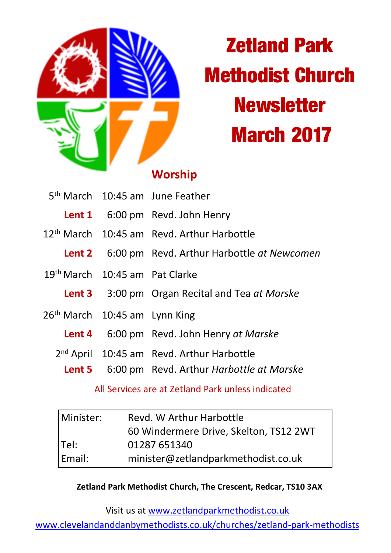

# **Zetland Park Methodist Church Newsletter March 2017**

## **Worship**

|                                            | 5 <sup>th</sup> March 10:45 am June Feather              |
|--------------------------------------------|----------------------------------------------------------|
|                                            | Lent 1 6:00 pm Revd. John Henry                          |
|                                            | 12 <sup>th</sup> March 10:45 am Revd. Arthur Harbottle   |
|                                            | <b>Lent 2</b> 6:00 pm Revd. Arthur Harbottle at Newcomen |
| 19 <sup>th</sup> March 10:45 am Pat Clarke |                                                          |
|                                            | <b>Lent 3</b> 3:00 pm Organ Recital and Tea at Marske    |
| 26 <sup>th</sup> March 10:45 am Lynn King  |                                                          |
|                                            | Lent 4 6:00 pm Revd. John Henry at Marske                |
|                                            | 2 <sup>nd</sup> April 10:45 am Revd. Arthur Harbottle    |
|                                            | <b>Lent 5</b> 6:00 pm Revd. Arthur Harbottle at Marske   |

## All Services are at Zetland Park unless indicated

| Minister: | Revd. W Arthur Harbottle               |  |
|-----------|----------------------------------------|--|
|           | 60 Windermere Drive, Skelton, TS12 2WT |  |
| Tel:      | 01287 651340                           |  |
| Email:    | minister@zetlandparkmethodist.co.uk    |  |

### **Zetland Park Methodist Church, The Crescent, Redcar, TS10 3AX**

Visit us at www.zetlandparkmethodist.co.uk

www.clevelandanddanbymethodists.co.uk/churches/zetland-park-methodists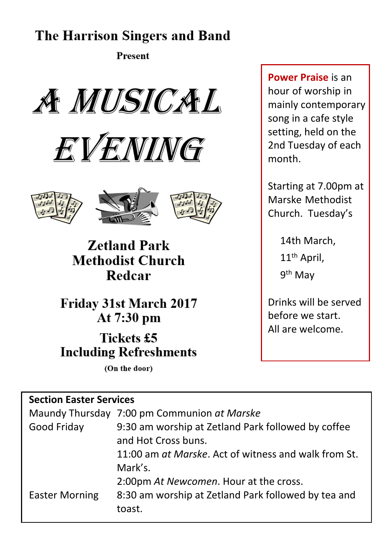## **The Harrison Singers and Band**

**Present** 









**Zetland Park Methodist Church** Redcar

**Friday 31st March 2017** At 7:30 pm

**Tickets £5 Including Refreshments** 

(On the door)

## **Section Easter Services**

|                       | Maundy Thursday 7:00 pm Communion at Marske          |  |
|-----------------------|------------------------------------------------------|--|
| Good Friday           | 9:30 am worship at Zetland Park followed by coffee   |  |
|                       | and Hot Cross buns.                                  |  |
|                       | 11:00 am at Marske. Act of witness and walk from St. |  |
|                       | Mark's.                                              |  |
|                       | 2:00pm At Newcomen. Hour at the cross.               |  |
| <b>Easter Morning</b> | 8:30 am worship at Zetland Park followed by tea and  |  |
|                       | toast.                                               |  |

**Power Praise** is an hour of worship in mainly contemporary song in a cafe style setting, held on the 2nd Tuesday of each month.

Starting at 7.00pm at Marske Methodist Church. Tuesday's

> 14th March, 11<sup>th</sup> April, 9<sup>th</sup> May

Drinks will be served before we start. All are welcome.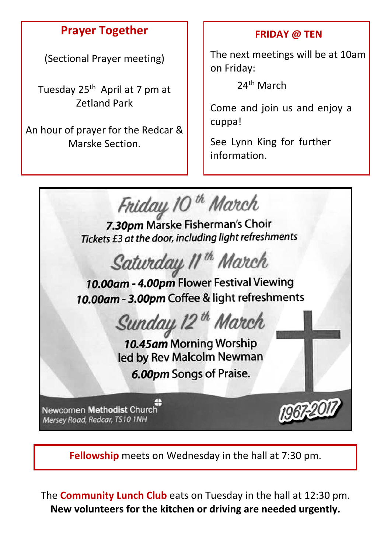## **Prayer Together**

(Sectional Prayer meeting)

Tuesday 25<sup>th</sup> April at 7 pm at Zetland Park

An hour of prayer for the Redcar & Marske Section.

## **FRIDAY @ TEN**

The next meetings will be at 10am on Friday:

24th March

Come and join us and enjoy a cuppa!

See Lynn King for further information.



**Fellowship** meets on Wednesday in the hall at 7:30 pm.

The **Community Lunch Club** eats on Tuesday in the hall at 12:30 pm. **New volunteers for the kitchen or driving are needed urgently.**